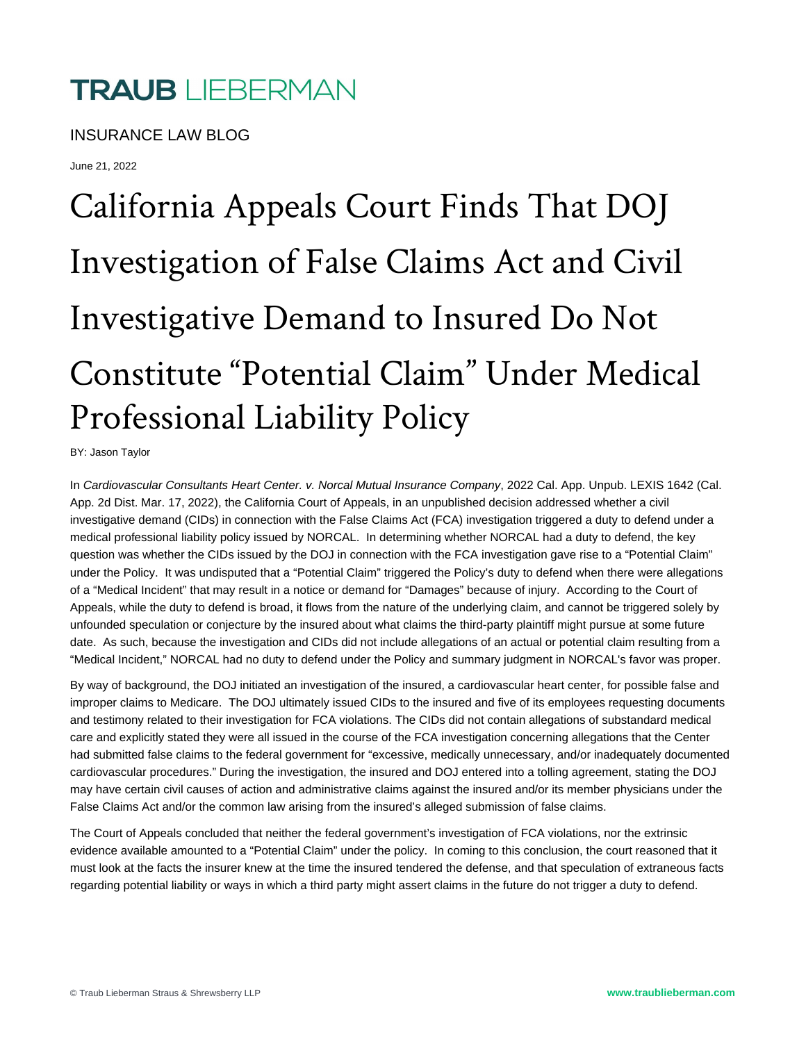## **TRAUB** LIEBERMAN

INSURANCE LAW BLOG

June 21, 2022

## California Appeals Court Finds That DOJ Investigation of False Claims Act and Civil Investigative Demand to Insured Do Not Constitute "Potential Claim" Under Medical Professional Liability Policy

BY: Jason Taylor

In Cardiovascular Consultants Heart Center. v. Norcal Mutual Insurance Company, 2022 Cal. App. Unpub. LEXIS 1642 (Cal. App. 2d Dist. Mar. 17, 2022), the California Court of Appeals, in an unpublished decision addressed whether a civil investigative demand (CIDs) in connection with the False Claims Act (FCA) investigation triggered a duty to defend under a medical professional liability policy issued by NORCAL. In determining whether NORCAL had a duty to defend, the key question was whether the CIDs issued by the DOJ in connection with the FCA investigation gave rise to a "Potential Claim" under the Policy. It was undisputed that a "Potential Claim" triggered the Policy's duty to defend when there were allegations of a "Medical Incident" that may result in a notice or demand for "Damages" because of injury. According to the Court of Appeals, while the duty to defend is broad, it flows from the nature of the underlying claim, and cannot be triggered solely by unfounded speculation or conjecture by the insured about what claims the third-party plaintiff might pursue at some future date. As such, because the investigation and CIDs did not include allegations of an actual or potential claim resulting from a "Medical Incident," NORCAL had no duty to defend under the Policy and summary judgment in NORCAL's favor was proper.

By way of background, the DOJ initiated an investigation of the insured, a cardiovascular heart center, for possible false and improper claims to Medicare. The DOJ ultimately issued CIDs to the insured and five of its employees requesting documents and testimony related to their investigation for FCA violations. The CIDs did not contain allegations of substandard medical care and explicitly stated they were all issued in the course of the FCA investigation concerning allegations that the Center had submitted false claims to the federal government for "excessive, medically unnecessary, and/or inadequately documented cardiovascular procedures." During the investigation, the insured and DOJ entered into a tolling agreement, stating the DOJ may have certain civil causes of action and administrative claims against the insured and/or its member physicians under the False Claims Act and/or the common law arising from the insured's alleged submission of false claims.

The Court of Appeals concluded that neither the federal government's investigation of FCA violations, nor the extrinsic evidence available amounted to a "Potential Claim" under the policy. In coming to this conclusion, the court reasoned that it must look at the facts the insurer knew at the time the insured tendered the defense, and that speculation of extraneous facts regarding potential liability or ways in which a third party might assert claims in the future do not trigger a duty to defend.